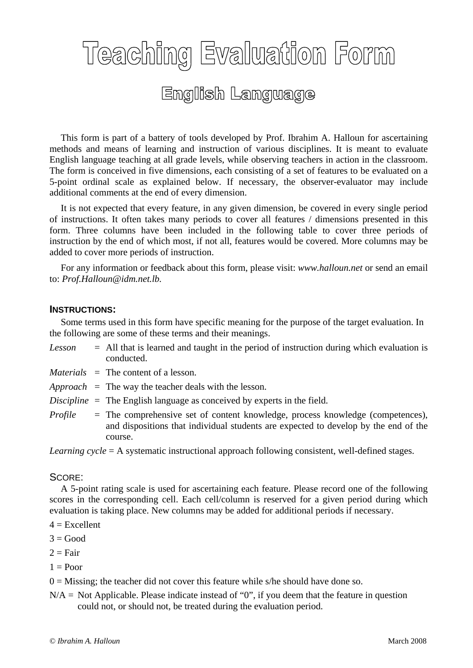## **Teaching Evaluation Form** English Language

 This form is part of a battery of tools developed by Prof. Ibrahim A. Halloun for ascertaining methods and means of learning and instruction of various disciplines. It is meant to evaluate English language teaching at all grade levels, while observing teachers in action in the classroom. The form is conceived in five dimensions, each consisting of a set of features to be evaluated on a 5-point ordinal scale as explained below. If necessary, the observer-evaluator may include additional comments at the end of every dimension.

 It is not expected that every feature, in any given dimension, be covered in every single period of instructions. It often takes many periods to cover all features / dimensions presented in this form. Three columns have been included in the following table to cover three periods of instruction by the end of which most, if not all, features would be covered. More columns may be added to cover more periods of instruction.

 For any information or feedback about this form, please visit: *www.halloun.net* or send an email to: *Prof.Halloun@idm.net.lb.*

## **INSTRUCTIONS:**

 Some terms used in this form have specific meaning for the purpose of the target evaluation. In the following are some of these terms and their meanings.

- *Lesson* = All that is learned and taught in the period of instruction during which evaluation is conducted.
- *Materials* = The content of a lesson.
- *Approach* = The way the teacher deals with the lesson.
- *Discipline* = The English language as conceived by experts in the field.
- *Profile* = The comprehensive set of content knowledge, process knowledge (competences), and dispositions that individual students are expected to develop by the end of the course.

*Learning cycle* = A systematic instructional approach following consistent, well-defined stages.

## SCORE:

 A 5-point rating scale is used for ascertaining each feature. Please record one of the following scores in the corresponding cell. Each cell/column is reserved for a given period during which evaluation is taking place. New columns may be added for additional periods if necessary.

- $4 =$ Excellent
- $3 = Good$
- $2 = \text{Fair}$
- $1 =$ Poor

 $0 =$  Missing; the teacher did not cover this feature while s/he should have done so.

 $N/A$  = Not Applicable. Please indicate instead of "0", if you deem that the feature in question could not, or should not, be treated during the evaluation period.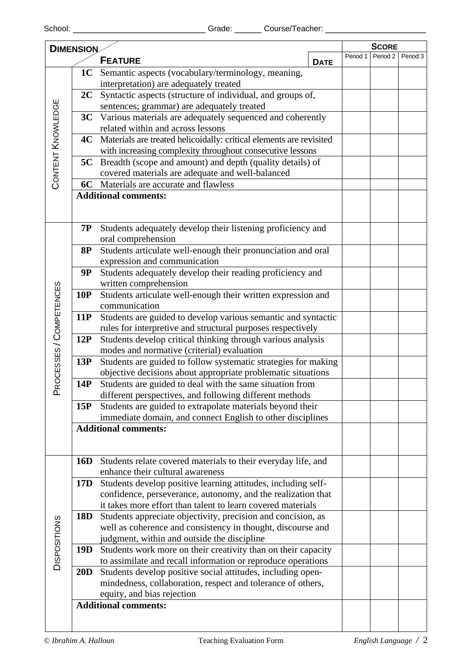| <b>DIMENSION</b>        |            |                                                                                                                               |                                                  |          | <b>SCORE</b> |  |  |
|-------------------------|------------|-------------------------------------------------------------------------------------------------------------------------------|--------------------------------------------------|----------|--------------|--|--|
| <b>FEATURE</b>          |            |                                                                                                                               | Period 1                                         | Period 2 | Period 3     |  |  |
|                         |            |                                                                                                                               | <b>DATE</b>                                      |          |              |  |  |
|                         | <b>1C</b>  | Semantic aspects (vocabulary/terminology, meaning,                                                                            |                                                  |          |              |  |  |
|                         | 2C         | interpretation) are adequately treated                                                                                        |                                                  |          |              |  |  |
|                         |            | Syntactic aspects (structure of individual, and groups of,<br>sentences; grammar) are adequately treated                      |                                                  |          |              |  |  |
|                         |            | 3C Various materials are adequately sequenced and coherently                                                                  |                                                  |          |              |  |  |
| CONTENT KNOWLEDGE       |            | related within and across lessons                                                                                             |                                                  |          |              |  |  |
|                         | 4C         | Materials are treated helicoidally: critical elements are revisited                                                           |                                                  |          |              |  |  |
|                         |            | with increasing complexity throughout consecutive lessons                                                                     |                                                  |          |              |  |  |
|                         |            | <b>5C</b> Breadth (scope and amount) and depth (quality details) of                                                           |                                                  |          |              |  |  |
|                         |            |                                                                                                                               | covered materials are adequate and well-balanced |          |              |  |  |
|                         |            | 6C Materials are accurate and flawless                                                                                        |                                                  |          |              |  |  |
|                         |            | <b>Additional comments:</b>                                                                                                   |                                                  |          |              |  |  |
|                         |            |                                                                                                                               |                                                  |          |              |  |  |
|                         |            |                                                                                                                               |                                                  |          |              |  |  |
|                         | 7P         | Students adequately develop their listening proficiency and                                                                   |                                                  |          |              |  |  |
|                         |            | oral comprehension                                                                                                            |                                                  |          |              |  |  |
|                         | <b>8P</b>  | Students articulate well-enough their pronunciation and oral                                                                  |                                                  |          |              |  |  |
|                         |            | expression and communication                                                                                                  |                                                  |          |              |  |  |
|                         | <b>9P</b>  | Students adequately develop their reading proficiency and                                                                     |                                                  |          |              |  |  |
|                         |            | written comprehension                                                                                                         |                                                  |          |              |  |  |
|                         | 10P        | Students articulate well-enough their written expression and                                                                  |                                                  |          |              |  |  |
|                         |            | communication                                                                                                                 |                                                  |          |              |  |  |
|                         | 11P        | Students are guided to develop various semantic and syntactic                                                                 |                                                  |          |              |  |  |
|                         |            | rules for interpretive and structural purposes respectively                                                                   |                                                  |          |              |  |  |
| PROCESSES / COMPETENCES | 12P        | Students develop critical thinking through various analysis                                                                   |                                                  |          |              |  |  |
|                         |            | modes and normative (criterial) evaluation                                                                                    |                                                  |          |              |  |  |
|                         | 13P        | Students are guided to follow systematic strategies for making                                                                |                                                  |          |              |  |  |
|                         |            | objective decisions about appropriate problematic situations                                                                  |                                                  |          |              |  |  |
|                         | 14P        | Students are guided to deal with the same situation from                                                                      |                                                  |          |              |  |  |
|                         |            | different perspectives, and following different methods                                                                       |                                                  |          |              |  |  |
|                         | 15P        | Students are guided to extrapolate materials beyond their                                                                     |                                                  |          |              |  |  |
|                         |            | immediate domain, and connect English to other disciplines                                                                    |                                                  |          |              |  |  |
|                         |            | <b>Additional comments:</b>                                                                                                   |                                                  |          |              |  |  |
|                         |            |                                                                                                                               |                                                  |          |              |  |  |
|                         |            |                                                                                                                               |                                                  |          |              |  |  |
| <b>DISPOSITIONS</b>     | 16D        | Students relate covered materials to their everyday life, and<br>enhance their cultural awareness                             |                                                  |          |              |  |  |
|                         |            |                                                                                                                               |                                                  |          |              |  |  |
|                         | 17D        | Students develop positive learning attitudes, including self-<br>confidence, perseverance, autonomy, and the realization that |                                                  |          |              |  |  |
|                         |            | it takes more effort than talent to learn covered materials                                                                   |                                                  |          |              |  |  |
|                         | <b>18D</b> | Students appreciate objectivity, precision and concision, as                                                                  |                                                  |          |              |  |  |
|                         |            | well as coherence and consistency in thought, discourse and                                                                   |                                                  |          |              |  |  |
|                         |            | judgment, within and outside the discipline                                                                                   |                                                  |          |              |  |  |
|                         | 19D        | Students work more on their creativity than on their capacity                                                                 |                                                  |          |              |  |  |
|                         |            | to assimilate and recall information or reproduce operations                                                                  |                                                  |          |              |  |  |
|                         | 20D        | Students develop positive social attitudes, including open-                                                                   |                                                  |          |              |  |  |
|                         |            | mindedness, collaboration, respect and tolerance of others,                                                                   |                                                  |          |              |  |  |
|                         |            | equity, and bias rejection                                                                                                    |                                                  |          |              |  |  |
|                         |            | <b>Additional comments:</b>                                                                                                   |                                                  |          |              |  |  |
|                         |            |                                                                                                                               |                                                  |          |              |  |  |
|                         |            |                                                                                                                               |                                                  |          |              |  |  |